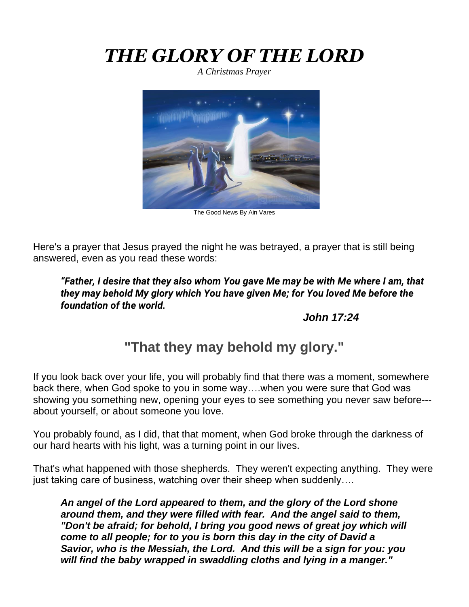# *THE GLORY OF THE LORD*

*A Christmas Prayer*



The Good News By Ain Vares

Here's a prayer that Jesus prayed the night he was betrayed, a prayer that is still being answered, even as you read these words:

*"Father, I desire that they also whom You gave Me may be with Me where I am, that they may behold My glory which You have given Me; for You loved Me before the foundation of the world.*

#### *John 17:24*

## **"That they may behold my glory."**

If you look back over your life, you will probably find that there was a moment, somewhere back there, when God spoke to you in some way….when you were sure that God was showing you something new, opening your eyes to see something you never saw before-- about yourself, or about someone you love.

You probably found, as I did, that that moment, when God broke through the darkness of our hard hearts with his light, was a turning point in our lives.

That's what happened with those shepherds. They weren't expecting anything. They were just taking care of business, watching over their sheep when suddenly….

*An angel of the Lord appeared to them, and the glory of the Lord shone around them, and they were filled with fear. And the angel said to them, "Don't be afraid; for behold, I bring you good news of great joy which will come to all people; for to you is born this day in the city of David a Savior, who is the Messiah, the Lord. And this will be a sign for you: you will find the baby wrapped in swaddling cloths and lying in a manger."*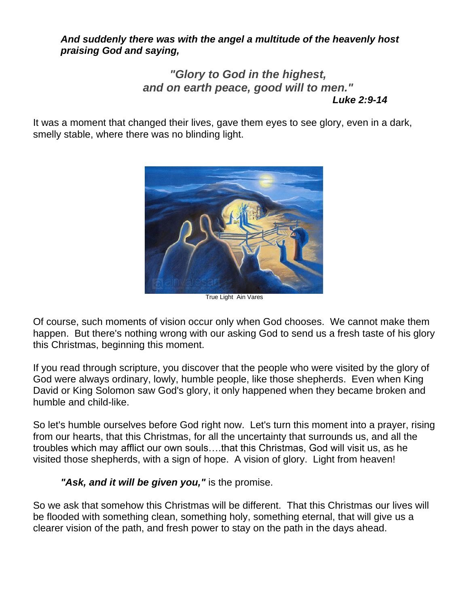#### *And suddenly there was with the angel a multitude of the heavenly host praising God and saying,*

#### *"Glory to God in the highest, and on earth peace, good will to men." Luke 2:9-14*

It was a moment that changed their lives, gave them eyes to see glory, even in a dark, smelly stable, where there was no blinding light.



True Light Ain Vares

Of course, such moments of vision occur only when God chooses. We cannot make them happen. But there's nothing wrong with our asking God to send us a fresh taste of his glory this Christmas, beginning this moment.

If you read through scripture, you discover that the people who were visited by the glory of God were always ordinary, lowly, humble people, like those shepherds. Even when King David or King Solomon saw God's glory, it only happened when they became broken and humble and child-like.

So let's humble ourselves before God right now. Let's turn this moment into a prayer, rising from our hearts, that this Christmas, for all the uncertainty that surrounds us, and all the troubles which may afflict our own souls….that this Christmas, God will visit us, as he visited those shepherds, with a sign of hope. A vision of glory. Light from heaven!

#### "Ask, and it will be given you," is the promise.

So we ask that somehow this Christmas will be different. That this Christmas our lives will be flooded with something clean, something holy, something eternal, that will give us a clearer vision of the path, and fresh power to stay on the path in the days ahead.